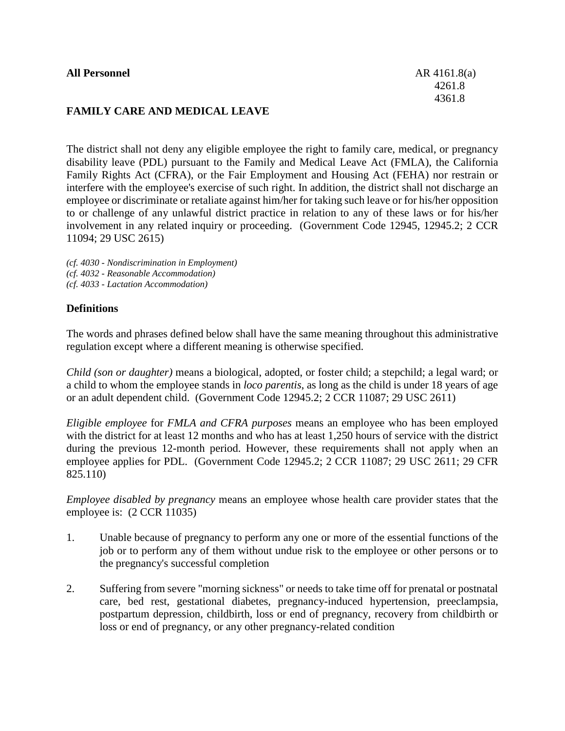### **FAMILY CARE AND MEDICAL LEAVE**

The district shall not deny any eligible employee the right to family care, medical, or pregnancy disability leave (PDL) pursuant to the Family and Medical Leave Act (FMLA), the California Family Rights Act (CFRA), or the Fair Employment and Housing Act (FEHA) nor restrain or interfere with the employee's exercise of such right. In addition, the district shall not discharge an employee or discriminate or retaliate against him/her for taking such leave or for his/her opposition to or challenge of any unlawful district practice in relation to any of these laws or for his/her involvement in any related inquiry or proceeding. (Government Code 12945, 12945.2; 2 CCR 11094; 29 USC 2615)

- *(cf. 4030 - Nondiscrimination in Employment) (cf. 4032 - Reasonable Accommodation)*
- *(cf. 4033 - Lactation Accommodation)*

#### **Definitions**

The words and phrases defined below shall have the same meaning throughout this administrative regulation except where a different meaning is otherwise specified.

*Child (son or daughter)* means a biological, adopted, or foster child; a stepchild; a legal ward; or a child to whom the employee stands in *loco parentis*, as long as the child is under 18 years of age or an adult dependent child. (Government Code 12945.2; 2 CCR 11087; 29 USC 2611)

*Eligible employee* for *FMLA and CFRA purposes* means an employee who has been employed with the district for at least 12 months and who has at least 1,250 hours of service with the district during the previous 12-month period. However, these requirements shall not apply when an employee applies for PDL. (Government Code 12945.2; 2 CCR 11087; 29 USC 2611; 29 CFR 825.110)

*Employee disabled by pregnancy* means an employee whose health care provider states that the employee is: (2 CCR 11035)

- 1. Unable because of pregnancy to perform any one or more of the essential functions of the job or to perform any of them without undue risk to the employee or other persons or to the pregnancy's successful completion
- 2. Suffering from severe "morning sickness" or needs to take time off for prenatal or postnatal care, bed rest, gestational diabetes, pregnancy-induced hypertension, preeclampsia, postpartum depression, childbirth, loss or end of pregnancy, recovery from childbirth or loss or end of pregnancy, or any other pregnancy-related condition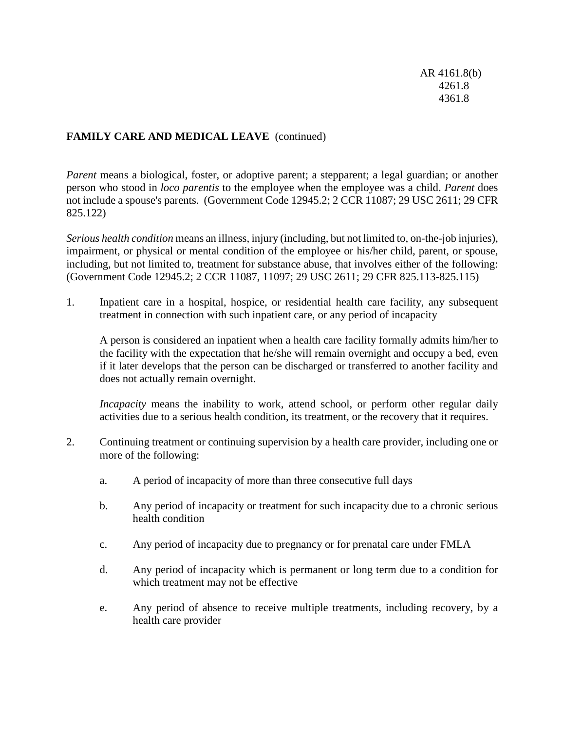AR 4161.8(b) 4261.8 4361.8

## **FAMILY CARE AND MEDICAL LEAVE** (continued)

*Parent* means a biological, foster, or adoptive parent; a stepparent; a legal guardian; or another person who stood in *loco parentis* to the employee when the employee was a child. *Parent* does not include a spouse's parents. (Government Code 12945.2; 2 CCR 11087; 29 USC 2611; 29 CFR 825.122)

*Serious health condition* means an illness, injury (including, but not limited to, on-the-job injuries), impairment, or physical or mental condition of the employee or his/her child, parent, or spouse, including, but not limited to, treatment for substance abuse, that involves either of the following: (Government Code 12945.2; 2 CCR 11087, 11097; 29 USC 2611; 29 CFR 825.113-825.115)

1. Inpatient care in a hospital, hospice, or residential health care facility, any subsequent treatment in connection with such inpatient care, or any period of incapacity

A person is considered an inpatient when a health care facility formally admits him/her to the facility with the expectation that he/she will remain overnight and occupy a bed, even if it later develops that the person can be discharged or transferred to another facility and does not actually remain overnight.

*Incapacity* means the inability to work, attend school, or perform other regular daily activities due to a serious health condition, its treatment, or the recovery that it requires.

- 2. Continuing treatment or continuing supervision by a health care provider, including one or more of the following:
	- a. A period of incapacity of more than three consecutive full days
	- b. Any period of incapacity or treatment for such incapacity due to a chronic serious health condition
	- c. Any period of incapacity due to pregnancy or for prenatal care under FMLA
	- d. Any period of incapacity which is permanent or long term due to a condition for which treatment may not be effective
	- e. Any period of absence to receive multiple treatments, including recovery, by a health care provider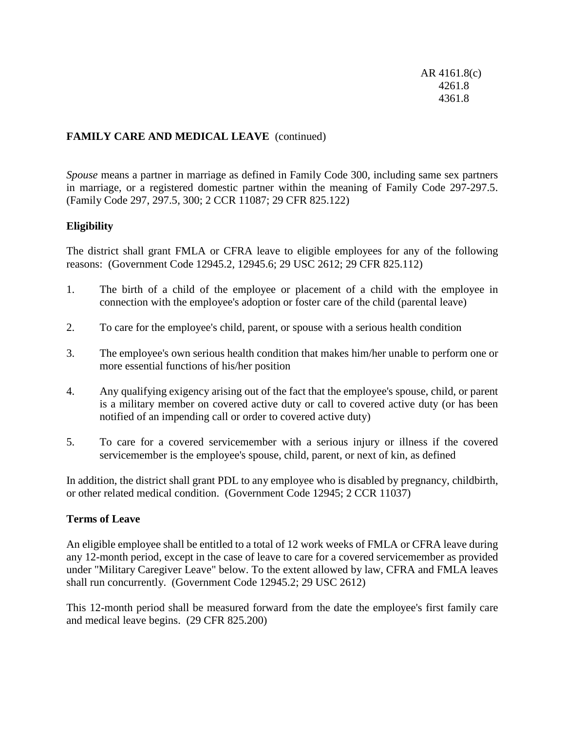AR 4161.8(c) 4261.8 4361.8

## **FAMILY CARE AND MEDICAL LEAVE** (continued)

*Spouse* means a partner in marriage as defined in Family Code 300, including same sex partners in marriage, or a registered domestic partner within the meaning of Family Code 297-297.5. (Family Code 297, 297.5, 300; 2 CCR 11087; 29 CFR 825.122)

### **Eligibility**

The district shall grant FMLA or CFRA leave to eligible employees for any of the following reasons: (Government Code 12945.2, 12945.6; 29 USC 2612; 29 CFR 825.112)

- 1. The birth of a child of the employee or placement of a child with the employee in connection with the employee's adoption or foster care of the child (parental leave)
- 2. To care for the employee's child, parent, or spouse with a serious health condition
- 3. The employee's own serious health condition that makes him/her unable to perform one or more essential functions of his/her position
- 4. Any qualifying exigency arising out of the fact that the employee's spouse, child, or parent is a military member on covered active duty or call to covered active duty (or has been notified of an impending call or order to covered active duty)
- 5. To care for a covered servicemember with a serious injury or illness if the covered servicemember is the employee's spouse, child, parent, or next of kin, as defined

In addition, the district shall grant PDL to any employee who is disabled by pregnancy, childbirth, or other related medical condition. (Government Code 12945; 2 CCR 11037)

#### **Terms of Leave**

An eligible employee shall be entitled to a total of 12 work weeks of FMLA or CFRA leave during any 12-month period, except in the case of leave to care for a covered servicemember as provided under "Military Caregiver Leave" below. To the extent allowed by law, CFRA and FMLA leaves shall run concurrently. (Government Code 12945.2; 29 USC 2612)

This 12-month period shall be measured forward from the date the employee's first family care and medical leave begins. (29 CFR 825.200)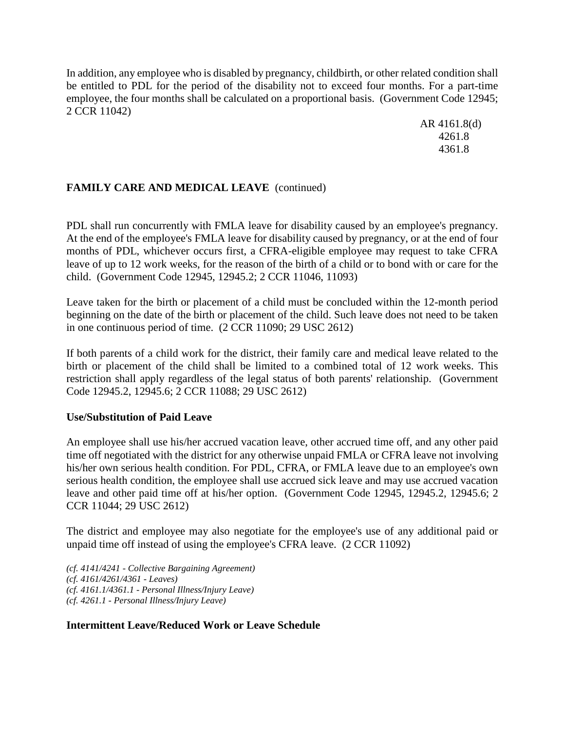In addition, any employee who is disabled by pregnancy, childbirth, or other related condition shall be entitled to PDL for the period of the disability not to exceed four months. For a part-time employee, the four months shall be calculated on a proportional basis. (Government Code 12945; 2 CCR 11042)

> AR 4161.8(d) 4261.8 4361.8

# **FAMILY CARE AND MEDICAL LEAVE** (continued)

PDL shall run concurrently with FMLA leave for disability caused by an employee's pregnancy. At the end of the employee's FMLA leave for disability caused by pregnancy, or at the end of four months of PDL, whichever occurs first, a CFRA-eligible employee may request to take CFRA leave of up to 12 work weeks, for the reason of the birth of a child or to bond with or care for the child. (Government Code 12945, 12945.2; 2 CCR 11046, 11093)

Leave taken for the birth or placement of a child must be concluded within the 12-month period beginning on the date of the birth or placement of the child. Such leave does not need to be taken in one continuous period of time. (2 CCR 11090; 29 USC 2612)

If both parents of a child work for the district, their family care and medical leave related to the birth or placement of the child shall be limited to a combined total of 12 work weeks. This restriction shall apply regardless of the legal status of both parents' relationship. (Government Code 12945.2, 12945.6; 2 CCR 11088; 29 USC 2612)

### **Use/Substitution of Paid Leave**

An employee shall use his/her accrued vacation leave, other accrued time off, and any other paid time off negotiated with the district for any otherwise unpaid FMLA or CFRA leave not involving his/her own serious health condition. For PDL, CFRA, or FMLA leave due to an employee's own serious health condition, the employee shall use accrued sick leave and may use accrued vacation leave and other paid time off at his/her option. (Government Code 12945, 12945.2, 12945.6; 2 CCR 11044; 29 USC 2612)

The district and employee may also negotiate for the employee's use of any additional paid or unpaid time off instead of using the employee's CFRA leave. (2 CCR 11092)

*(cf. 4141/4241 - Collective Bargaining Agreement) (cf. 4161/4261/4361 - Leaves) (cf. 4161.1/4361.1 - Personal Illness/Injury Leave) (cf. 4261.1 - Personal Illness/Injury Leave)*

### **Intermittent Leave/Reduced Work or Leave Schedule**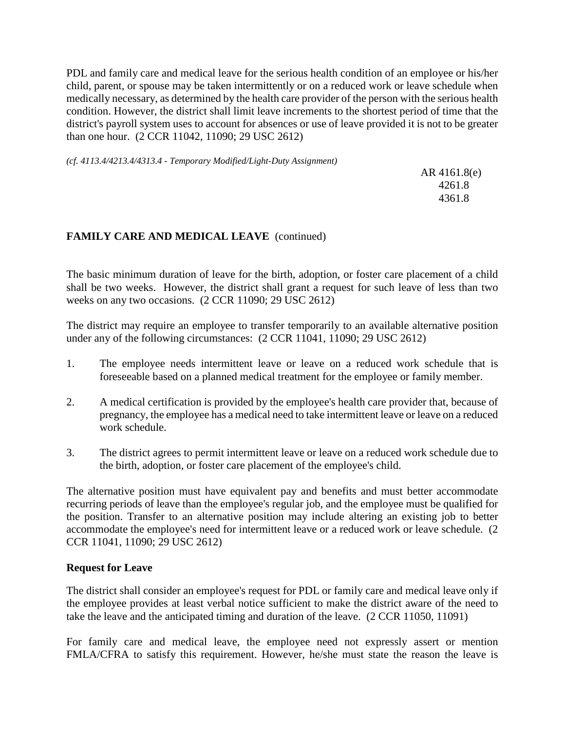PDL and family care and medical leave for the serious health condition of an employee or his/her child, parent, or spouse may be taken intermittently or on a reduced work or leave schedule when medically necessary, as determined by the health care provider of the person with the serious health condition. However, the district shall limit leave increments to the shortest period of time that the district's payroll system uses to account for absences or use of leave provided it is not to be greater than one hour. (2 CCR 11042, 11090; 29 USC 2612)

*(cf. 4113.4/4213.4/4313.4 - Temporary Modified/Light-Duty Assignment)*

AR 4161.8(e) 4261.8 4361.8

# **FAMILY CARE AND MEDICAL LEAVE** (continued)

The basic minimum duration of leave for the birth, adoption, or foster care placement of a child shall be two weeks. However, the district shall grant a request for such leave of less than two weeks on any two occasions. (2 CCR 11090; 29 USC 2612)

The district may require an employee to transfer temporarily to an available alternative position under any of the following circumstances: (2 CCR 11041, 11090; 29 USC 2612)

- 1. The employee needs intermittent leave or leave on a reduced work schedule that is foreseeable based on a planned medical treatment for the employee or family member.
- 2. A medical certification is provided by the employee's health care provider that, because of pregnancy, the employee has a medical need to take intermittent leave or leave on a reduced work schedule.
- 3. The district agrees to permit intermittent leave or leave on a reduced work schedule due to the birth, adoption, or foster care placement of the employee's child.

The alternative position must have equivalent pay and benefits and must better accommodate recurring periods of leave than the employee's regular job, and the employee must be qualified for the position. Transfer to an alternative position may include altering an existing job to better accommodate the employee's need for intermittent leave or a reduced work or leave schedule. (2 CCR 11041, 11090; 29 USC 2612)

### **Request for Leave**

The district shall consider an employee's request for PDL or family care and medical leave only if the employee provides at least verbal notice sufficient to make the district aware of the need to take the leave and the anticipated timing and duration of the leave. (2 CCR 11050, 11091)

For family care and medical leave, the employee need not expressly assert or mention FMLA/CFRA to satisfy this requirement. However, he/she must state the reason the leave is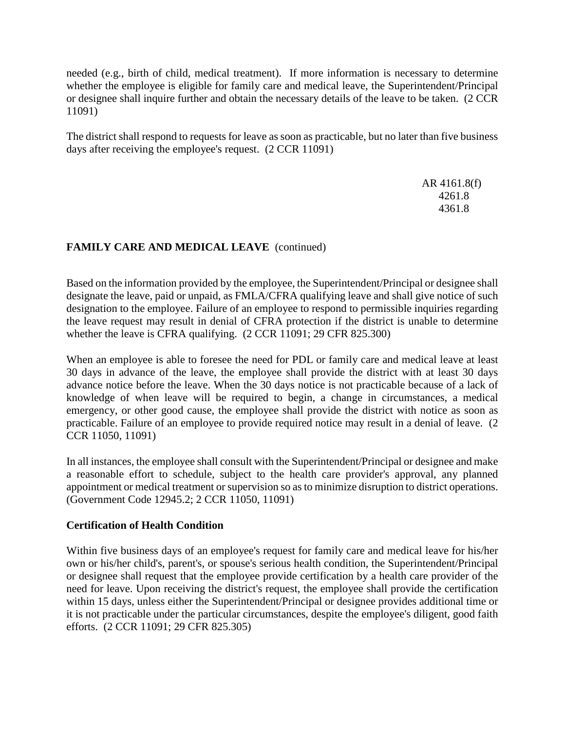needed (e.g., birth of child, medical treatment). If more information is necessary to determine whether the employee is eligible for family care and medical leave, the Superintendent/Principal or designee shall inquire further and obtain the necessary details of the leave to be taken. (2 CCR 11091)

The district shall respond to requests for leave as soon as practicable, but no later than five business days after receiving the employee's request. (2 CCR 11091)

> AR 4161.8(f) 4261.8 4361.8

# **FAMILY CARE AND MEDICAL LEAVE** (continued)

Based on the information provided by the employee, the Superintendent/Principal or designee shall designate the leave, paid or unpaid, as FMLA/CFRA qualifying leave and shall give notice of such designation to the employee. Failure of an employee to respond to permissible inquiries regarding the leave request may result in denial of CFRA protection if the district is unable to determine whether the leave is CFRA qualifying. (2 CCR 11091; 29 CFR 825.300)

When an employee is able to foresee the need for PDL or family care and medical leave at least 30 days in advance of the leave, the employee shall provide the district with at least 30 days advance notice before the leave. When the 30 days notice is not practicable because of a lack of knowledge of when leave will be required to begin, a change in circumstances, a medical emergency, or other good cause, the employee shall provide the district with notice as soon as practicable. Failure of an employee to provide required notice may result in a denial of leave. (2 CCR 11050, 11091)

In all instances, the employee shall consult with the Superintendent/Principal or designee and make a reasonable effort to schedule, subject to the health care provider's approval, any planned appointment or medical treatment or supervision so as to minimize disruption to district operations. (Government Code 12945.2; 2 CCR 11050, 11091)

# **Certification of Health Condition**

Within five business days of an employee's request for family care and medical leave for his/her own or his/her child's, parent's, or spouse's serious health condition, the Superintendent/Principal or designee shall request that the employee provide certification by a health care provider of the need for leave. Upon receiving the district's request, the employee shall provide the certification within 15 days, unless either the Superintendent/Principal or designee provides additional time or it is not practicable under the particular circumstances, despite the employee's diligent, good faith efforts. (2 CCR 11091; 29 CFR 825.305)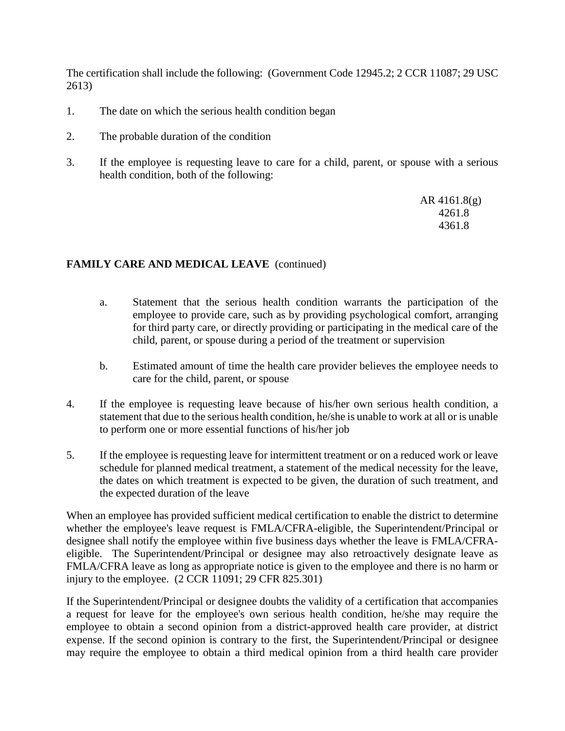The certification shall include the following: (Government Code 12945.2; 2 CCR 11087; 29 USC 2613)

- 1. The date on which the serious health condition began
- 2. The probable duration of the condition
- 3. If the employee is requesting leave to care for a child, parent, or spouse with a serious health condition, both of the following:

AR 4161.8(g) 4261.8 4361.8

### **FAMILY CARE AND MEDICAL LEAVE** (continued)

- a. Statement that the serious health condition warrants the participation of the employee to provide care, such as by providing psychological comfort, arranging for third party care, or directly providing or participating in the medical care of the child, parent, or spouse during a period of the treatment or supervision
- b. Estimated amount of time the health care provider believes the employee needs to care for the child, parent, or spouse
- 4. If the employee is requesting leave because of his/her own serious health condition, a statement that due to the serious health condition, he/she is unable to work at all or is unable to perform one or more essential functions of his/her job
- 5. If the employee is requesting leave for intermittent treatment or on a reduced work or leave schedule for planned medical treatment, a statement of the medical necessity for the leave, the dates on which treatment is expected to be given, the duration of such treatment, and the expected duration of the leave

When an employee has provided sufficient medical certification to enable the district to determine whether the employee's leave request is FMLA/CFRA-eligible, the Superintendent/Principal or designee shall notify the employee within five business days whether the leave is FMLA/CFRAeligible. The Superintendent/Principal or designee may also retroactively designate leave as FMLA/CFRA leave as long as appropriate notice is given to the employee and there is no harm or injury to the employee. (2 CCR 11091; 29 CFR 825.301)

If the Superintendent/Principal or designee doubts the validity of a certification that accompanies a request for leave for the employee's own serious health condition, he/she may require the employee to obtain a second opinion from a district-approved health care provider, at district expense. If the second opinion is contrary to the first, the Superintendent/Principal or designee may require the employee to obtain a third medical opinion from a third health care provider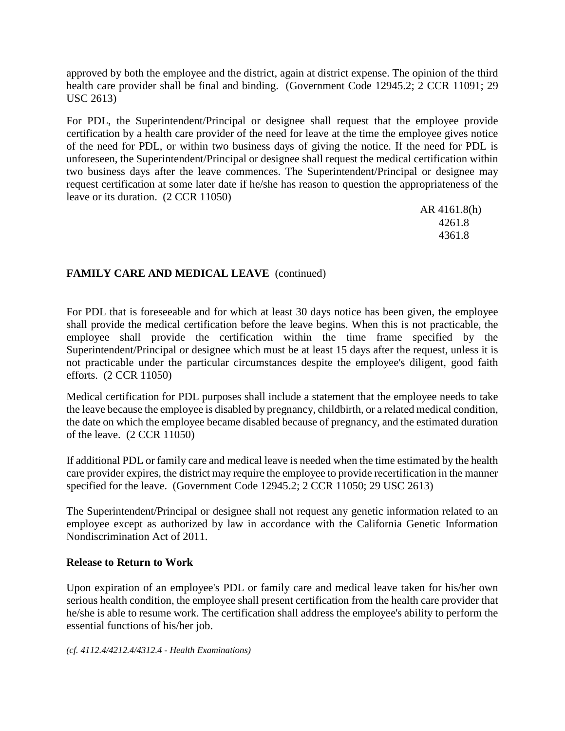approved by both the employee and the district, again at district expense. The opinion of the third health care provider shall be final and binding. (Government Code 12945.2; 2 CCR 11091; 29 USC 2613)

For PDL, the Superintendent/Principal or designee shall request that the employee provide certification by a health care provider of the need for leave at the time the employee gives notice of the need for PDL, or within two business days of giving the notice. If the need for PDL is unforeseen, the Superintendent/Principal or designee shall request the medical certification within two business days after the leave commences. The Superintendent/Principal or designee may request certification at some later date if he/she has reason to question the appropriateness of the leave or its duration. (2 CCR 11050)

> AR 4161.8(h) 4261.8 4361.8

# **FAMILY CARE AND MEDICAL LEAVE** (continued)

For PDL that is foreseeable and for which at least 30 days notice has been given, the employee shall provide the medical certification before the leave begins. When this is not practicable, the employee shall provide the certification within the time frame specified by the Superintendent/Principal or designee which must be at least 15 days after the request, unless it is not practicable under the particular circumstances despite the employee's diligent, good faith efforts. (2 CCR 11050)

Medical certification for PDL purposes shall include a statement that the employee needs to take the leave because the employee is disabled by pregnancy, childbirth, or a related medical condition, the date on which the employee became disabled because of pregnancy, and the estimated duration of the leave. (2 CCR 11050)

If additional PDL or family care and medical leave is needed when the time estimated by the health care provider expires, the district may require the employee to provide recertification in the manner specified for the leave. (Government Code 12945.2; 2 CCR 11050; 29 USC 2613)

The Superintendent/Principal or designee shall not request any genetic information related to an employee except as authorized by law in accordance with the California Genetic Information Nondiscrimination Act of 2011.

### **Release to Return to Work**

Upon expiration of an employee's PDL or family care and medical leave taken for his/her own serious health condition, the employee shall present certification from the health care provider that he/she is able to resume work. The certification shall address the employee's ability to perform the essential functions of his/her job.

*(cf. 4112.4/4212.4/4312.4 - Health Examinations)*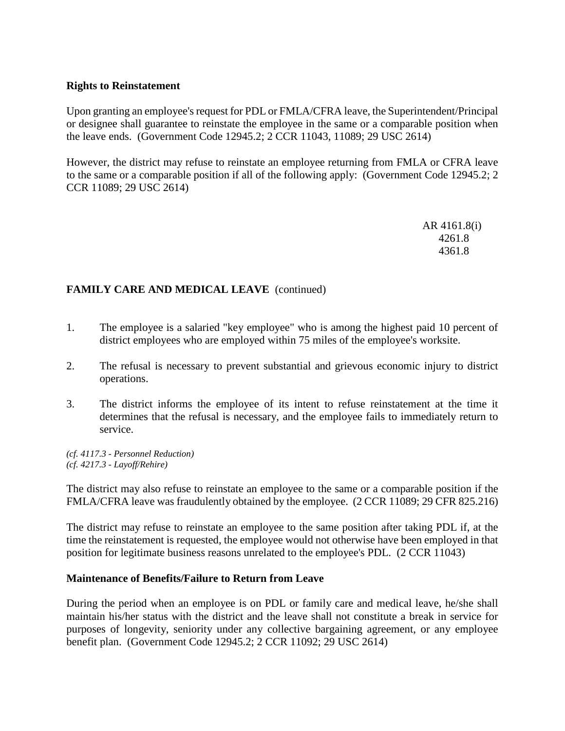### **Rights to Reinstatement**

Upon granting an employee's request for PDL or FMLA/CFRA leave, the Superintendent/Principal or designee shall guarantee to reinstate the employee in the same or a comparable position when the leave ends. (Government Code 12945.2; 2 CCR 11043, 11089; 29 USC 2614)

However, the district may refuse to reinstate an employee returning from FMLA or CFRA leave to the same or a comparable position if all of the following apply: (Government Code 12945.2; 2 CCR 11089; 29 USC 2614)

> AR 4161.8(i) 4261.8 4361.8

# **FAMILY CARE AND MEDICAL LEAVE** (continued)

- 1. The employee is a salaried "key employee" who is among the highest paid 10 percent of district employees who are employed within 75 miles of the employee's worksite.
- 2. The refusal is necessary to prevent substantial and grievous economic injury to district operations.
- 3. The district informs the employee of its intent to refuse reinstatement at the time it determines that the refusal is necessary, and the employee fails to immediately return to service.

*(cf. 4117.3 - Personnel Reduction) (cf. 4217.3 - Layoff/Rehire)*

The district may also refuse to reinstate an employee to the same or a comparable position if the FMLA/CFRA leave was fraudulently obtained by the employee. (2 CCR 11089; 29 CFR 825.216)

The district may refuse to reinstate an employee to the same position after taking PDL if, at the time the reinstatement is requested, the employee would not otherwise have been employed in that position for legitimate business reasons unrelated to the employee's PDL. (2 CCR 11043)

#### **Maintenance of Benefits/Failure to Return from Leave**

During the period when an employee is on PDL or family care and medical leave, he/she shall maintain his/her status with the district and the leave shall not constitute a break in service for purposes of longevity, seniority under any collective bargaining agreement, or any employee benefit plan. (Government Code 12945.2; 2 CCR 11092; 29 USC 2614)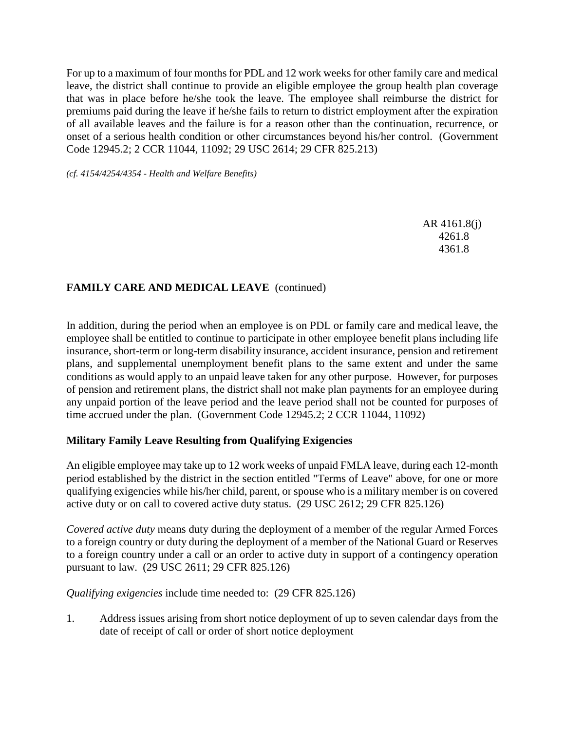For up to a maximum of four months for PDL and 12 work weeks for other family care and medical leave, the district shall continue to provide an eligible employee the group health plan coverage that was in place before he/she took the leave. The employee shall reimburse the district for premiums paid during the leave if he/she fails to return to district employment after the expiration of all available leaves and the failure is for a reason other than the continuation, recurrence, or onset of a serious health condition or other circumstances beyond his/her control. (Government Code 12945.2; 2 CCR 11044, 11092; 29 USC 2614; 29 CFR 825.213)

*(cf. 4154/4254/4354 - Health and Welfare Benefits)*

AR 4161.8(j) 4261.8 4361.8

### **FAMILY CARE AND MEDICAL LEAVE** (continued)

In addition, during the period when an employee is on PDL or family care and medical leave, the employee shall be entitled to continue to participate in other employee benefit plans including life insurance, short-term or long-term disability insurance, accident insurance, pension and retirement plans, and supplemental unemployment benefit plans to the same extent and under the same conditions as would apply to an unpaid leave taken for any other purpose. However, for purposes of pension and retirement plans, the district shall not make plan payments for an employee during any unpaid portion of the leave period and the leave period shall not be counted for purposes of time accrued under the plan. (Government Code 12945.2; 2 CCR 11044, 11092)

### **Military Family Leave Resulting from Qualifying Exigencies**

An eligible employee may take up to 12 work weeks of unpaid FMLA leave, during each 12-month period established by the district in the section entitled "Terms of Leave" above, for one or more qualifying exigencies while his/her child, parent, or spouse who is a military member is on covered active duty or on call to covered active duty status. (29 USC 2612; 29 CFR 825.126)

*Covered active duty* means duty during the deployment of a member of the regular Armed Forces to a foreign country or duty during the deployment of a member of the National Guard or Reserves to a foreign country under a call or an order to active duty in support of a contingency operation pursuant to law. (29 USC 2611; 29 CFR 825.126)

*Qualifying exigencies* include time needed to: (29 CFR 825.126)

1. Address issues arising from short notice deployment of up to seven calendar days from the date of receipt of call or order of short notice deployment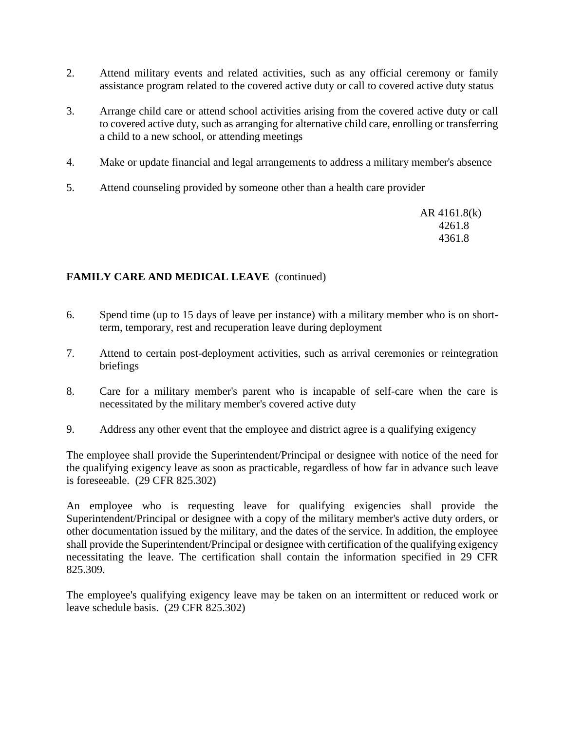- 2. Attend military events and related activities, such as any official ceremony or family assistance program related to the covered active duty or call to covered active duty status
- 3. Arrange child care or attend school activities arising from the covered active duty or call to covered active duty, such as arranging for alternative child care, enrolling or transferring a child to a new school, or attending meetings
- 4. Make or update financial and legal arrangements to address a military member's absence
- 5. Attend counseling provided by someone other than a health care provider

AR 4161.8(k) 4261.8 4361.8

# **FAMILY CARE AND MEDICAL LEAVE** (continued)

- 6. Spend time (up to 15 days of leave per instance) with a military member who is on shortterm, temporary, rest and recuperation leave during deployment
- 7. Attend to certain post-deployment activities, such as arrival ceremonies or reintegration briefings
- 8. Care for a military member's parent who is incapable of self-care when the care is necessitated by the military member's covered active duty
- 9. Address any other event that the employee and district agree is a qualifying exigency

The employee shall provide the Superintendent/Principal or designee with notice of the need for the qualifying exigency leave as soon as practicable, regardless of how far in advance such leave is foreseeable. (29 CFR 825.302)

An employee who is requesting leave for qualifying exigencies shall provide the Superintendent/Principal or designee with a copy of the military member's active duty orders, or other documentation issued by the military, and the dates of the service. In addition, the employee shall provide the Superintendent/Principal or designee with certification of the qualifying exigency necessitating the leave. The certification shall contain the information specified in 29 CFR 825.309.

The employee's qualifying exigency leave may be taken on an intermittent or reduced work or leave schedule basis. (29 CFR 825.302)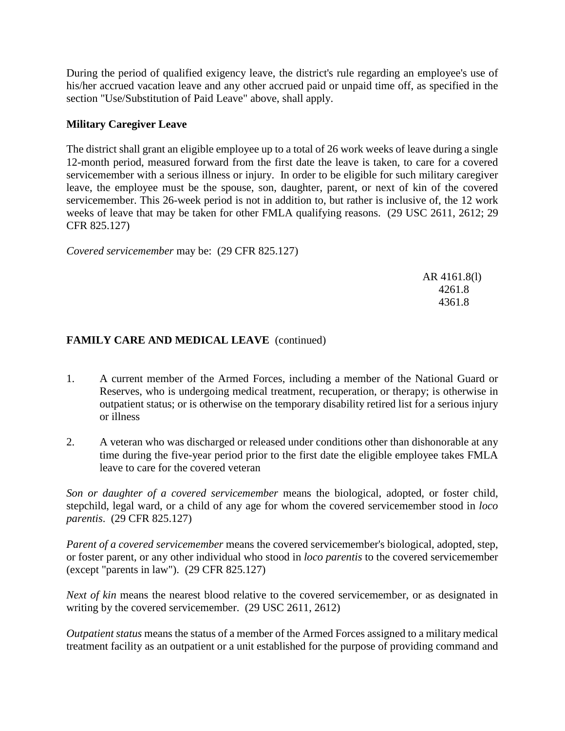During the period of qualified exigency leave, the district's rule regarding an employee's use of his/her accrued vacation leave and any other accrued paid or unpaid time off, as specified in the section "Use/Substitution of Paid Leave" above, shall apply.

### **Military Caregiver Leave**

The district shall grant an eligible employee up to a total of 26 work weeks of leave during a single 12-month period, measured forward from the first date the leave is taken, to care for a covered servicemember with a serious illness or injury. In order to be eligible for such military caregiver leave, the employee must be the spouse, son, daughter, parent, or next of kin of the covered servicemember. This 26-week period is not in addition to, but rather is inclusive of, the 12 work weeks of leave that may be taken for other FMLA qualifying reasons. (29 USC 2611, 2612; 29 CFR 825.127)

*Covered servicemember* may be: (29 CFR 825.127)

AR 4161.8(l) 4261.8 4361.8

# **FAMILY CARE AND MEDICAL LEAVE** (continued)

- 1. A current member of the Armed Forces, including a member of the National Guard or Reserves, who is undergoing medical treatment, recuperation, or therapy; is otherwise in outpatient status; or is otherwise on the temporary disability retired list for a serious injury or illness
- 2. A veteran who was discharged or released under conditions other than dishonorable at any time during the five-year period prior to the first date the eligible employee takes FMLA leave to care for the covered veteran

*Son or daughter of a covered servicemember* means the biological, adopted, or foster child, stepchild, legal ward, or a child of any age for whom the covered servicemember stood in *loco parentis*. (29 CFR 825.127)

*Parent of a covered servicemember* means the covered servicemember's biological, adopted, step, or foster parent, or any other individual who stood in *loco parentis* to the covered servicemember (except "parents in law"). (29 CFR 825.127)

*Next of kin* means the nearest blood relative to the covered servicemember, or as designated in writing by the covered servicemember. (29 USC 2611, 2612)

*Outpatient status* means the status of a member of the Armed Forces assigned to a military medical treatment facility as an outpatient or a unit established for the purpose of providing command and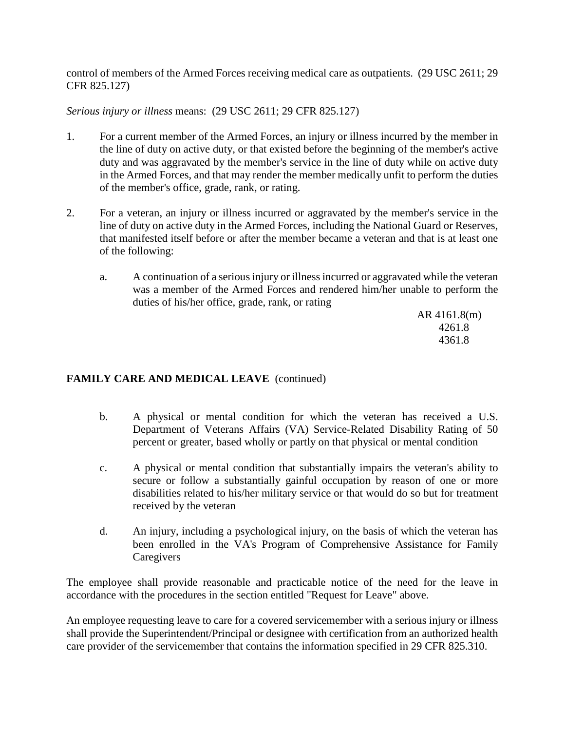control of members of the Armed Forces receiving medical care as outpatients. (29 USC 2611; 29 CFR 825.127)

*Serious injury or illness* means: (29 USC 2611; 29 CFR 825.127)

- 1. For a current member of the Armed Forces, an injury or illness incurred by the member in the line of duty on active duty, or that existed before the beginning of the member's active duty and was aggravated by the member's service in the line of duty while on active duty in the Armed Forces, and that may render the member medically unfit to perform the duties of the member's office, grade, rank, or rating.
- 2. For a veteran, an injury or illness incurred or aggravated by the member's service in the line of duty on active duty in the Armed Forces, including the National Guard or Reserves, that manifested itself before or after the member became a veteran and that is at least one of the following:
	- a. A continuation of a serious injury or illness incurred or aggravated while the veteran was a member of the Armed Forces and rendered him/her unable to perform the duties of his/her office, grade, rank, or rating

AR 4161.8(m) 4261.8 4361.8

# **FAMILY CARE AND MEDICAL LEAVE** (continued)

- b. A physical or mental condition for which the veteran has received a U.S. Department of Veterans Affairs (VA) Service-Related Disability Rating of 50 percent or greater, based wholly or partly on that physical or mental condition
- c. A physical or mental condition that substantially impairs the veteran's ability to secure or follow a substantially gainful occupation by reason of one or more disabilities related to his/her military service or that would do so but for treatment received by the veteran
- d. An injury, including a psychological injury, on the basis of which the veteran has been enrolled in the VA's Program of Comprehensive Assistance for Family **Caregivers**

The employee shall provide reasonable and practicable notice of the need for the leave in accordance with the procedures in the section entitled "Request for Leave" above.

An employee requesting leave to care for a covered servicemember with a serious injury or illness shall provide the Superintendent/Principal or designee with certification from an authorized health care provider of the servicemember that contains the information specified in 29 CFR 825.310.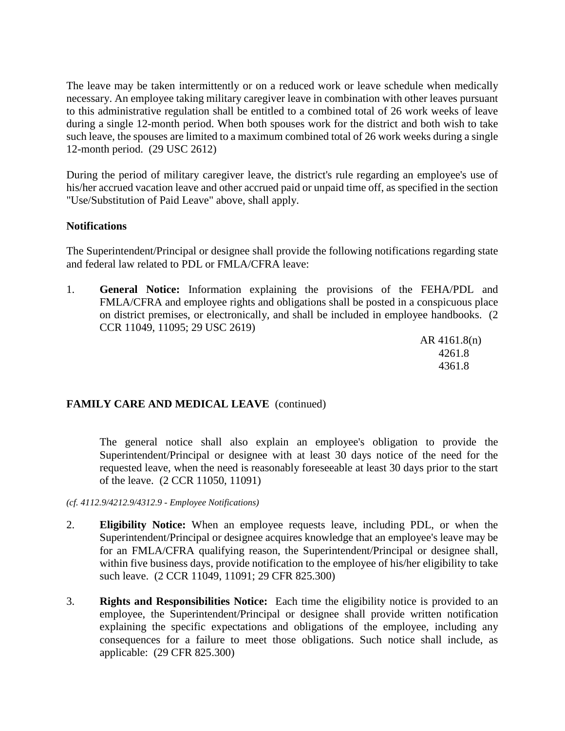The leave may be taken intermittently or on a reduced work or leave schedule when medically necessary. An employee taking military caregiver leave in combination with other leaves pursuant to this administrative regulation shall be entitled to a combined total of 26 work weeks of leave during a single 12-month period. When both spouses work for the district and both wish to take such leave, the spouses are limited to a maximum combined total of 26 work weeks during a single 12-month period. (29 USC 2612)

During the period of military caregiver leave, the district's rule regarding an employee's use of his/her accrued vacation leave and other accrued paid or unpaid time off, as specified in the section "Use/Substitution of Paid Leave" above, shall apply.

### **Notifications**

The Superintendent/Principal or designee shall provide the following notifications regarding state and federal law related to PDL or FMLA/CFRA leave:

1. **General Notice:** Information explaining the provisions of the FEHA/PDL and FMLA/CFRA and employee rights and obligations shall be posted in a conspicuous place on district premises, or electronically, and shall be included in employee handbooks. (2 CCR 11049, 11095; 29 USC 2619)

> AR 4161.8(n) 4261.8 4361.8

# **FAMILY CARE AND MEDICAL LEAVE** (continued)

The general notice shall also explain an employee's obligation to provide the Superintendent/Principal or designee with at least 30 days notice of the need for the requested leave, when the need is reasonably foreseeable at least 30 days prior to the start of the leave. (2 CCR 11050, 11091)

*(cf. 4112.9/4212.9/4312.9 - Employee Notifications)*

- 2. **Eligibility Notice:** When an employee requests leave, including PDL, or when the Superintendent/Principal or designee acquires knowledge that an employee's leave may be for an FMLA/CFRA qualifying reason, the Superintendent/Principal or designee shall, within five business days, provide notification to the employee of his/her eligibility to take such leave. (2 CCR 11049, 11091; 29 CFR 825.300)
- 3. **Rights and Responsibilities Notice:** Each time the eligibility notice is provided to an employee, the Superintendent/Principal or designee shall provide written notification explaining the specific expectations and obligations of the employee, including any consequences for a failure to meet those obligations. Such notice shall include, as applicable: (29 CFR 825.300)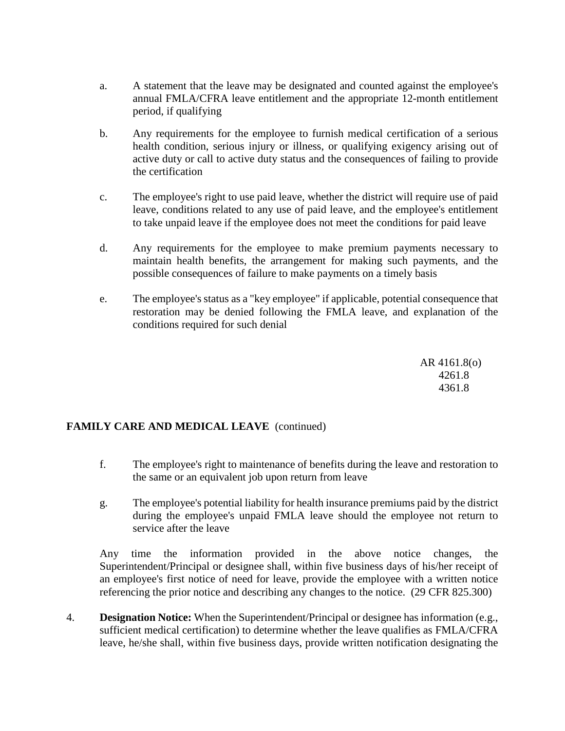- a. A statement that the leave may be designated and counted against the employee's annual FMLA/CFRA leave entitlement and the appropriate 12-month entitlement period, if qualifying
- b. Any requirements for the employee to furnish medical certification of a serious health condition, serious injury or illness, or qualifying exigency arising out of active duty or call to active duty status and the consequences of failing to provide the certification
- c. The employee's right to use paid leave, whether the district will require use of paid leave, conditions related to any use of paid leave, and the employee's entitlement to take unpaid leave if the employee does not meet the conditions for paid leave
- d. Any requirements for the employee to make premium payments necessary to maintain health benefits, the arrangement for making such payments, and the possible consequences of failure to make payments on a timely basis
- e. The employee's status as a "key employee" if applicable, potential consequence that restoration may be denied following the FMLA leave, and explanation of the conditions required for such denial

AR 4161.8(o) 4261.8 4361.8

# **FAMILY CARE AND MEDICAL LEAVE** (continued)

- f. The employee's right to maintenance of benefits during the leave and restoration to the same or an equivalent job upon return from leave
- g. The employee's potential liability for health insurance premiums paid by the district during the employee's unpaid FMLA leave should the employee not return to service after the leave

Any time the information provided in the above notice changes, the Superintendent/Principal or designee shall, within five business days of his/her receipt of an employee's first notice of need for leave, provide the employee with a written notice referencing the prior notice and describing any changes to the notice. (29 CFR 825.300)

4. **Designation Notice:** When the Superintendent/Principal or designee has information (e.g., sufficient medical certification) to determine whether the leave qualifies as FMLA/CFRA leave, he/she shall, within five business days, provide written notification designating the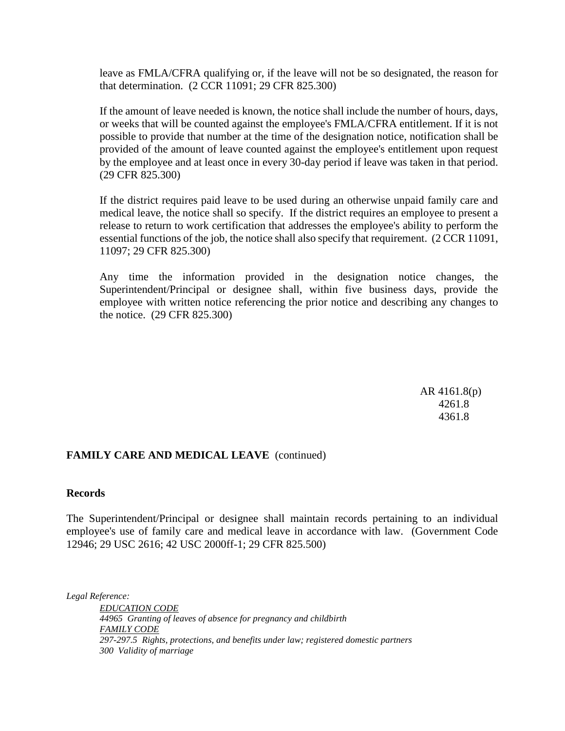leave as FMLA/CFRA qualifying or, if the leave will not be so designated, the reason for that determination. (2 CCR 11091; 29 CFR 825.300)

If the amount of leave needed is known, the notice shall include the number of hours, days, or weeks that will be counted against the employee's FMLA/CFRA entitlement. If it is not possible to provide that number at the time of the designation notice, notification shall be provided of the amount of leave counted against the employee's entitlement upon request by the employee and at least once in every 30-day period if leave was taken in that period. (29 CFR 825.300)

If the district requires paid leave to be used during an otherwise unpaid family care and medical leave, the notice shall so specify. If the district requires an employee to present a release to return to work certification that addresses the employee's ability to perform the essential functions of the job, the notice shall also specify that requirement. (2 CCR 11091, 11097; 29 CFR 825.300)

Any time the information provided in the designation notice changes, the Superintendent/Principal or designee shall, within five business days, provide the employee with written notice referencing the prior notice and describing any changes to the notice. (29 CFR 825.300)

> AR 4161.8(p) 4261.8 4361.8

#### **FAMILY CARE AND MEDICAL LEAVE** (continued)

### **Records**

The Superintendent/Principal or designee shall maintain records pertaining to an individual employee's use of family care and medical leave in accordance with law. (Government Code 12946; 29 USC 2616; 42 USC 2000ff-1; 29 CFR 825.500)

*Legal Reference:*

*EDUCATION CODE 44965 Granting of leaves of absence for pregnancy and childbirth FAMILY CODE 297-297.5 Rights, protections, and benefits under law; registered domestic partners 300 Validity of marriage*